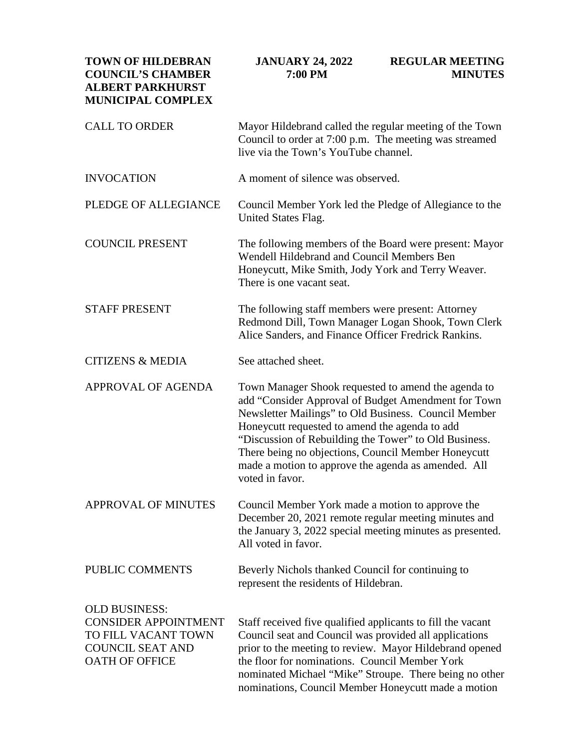| <b>TOWN OF HILDEBRAN</b><br><b>COUNCIL'S CHAMBER</b><br><b>ALBERT PARKHURST</b><br><b>MUNICIPAL COMPLEX</b>                    | <b>JANUARY 24, 2022</b><br>7:00 PM                                                                                                                                                                                                                                                                                                                                                                             | <b>REGULAR MEETING</b><br><b>MINUTES</b> |
|--------------------------------------------------------------------------------------------------------------------------------|----------------------------------------------------------------------------------------------------------------------------------------------------------------------------------------------------------------------------------------------------------------------------------------------------------------------------------------------------------------------------------------------------------------|------------------------------------------|
| <b>CALL TO ORDER</b>                                                                                                           | Mayor Hildebrand called the regular meeting of the Town<br>Council to order at 7:00 p.m. The meeting was streamed<br>live via the Town's YouTube channel.                                                                                                                                                                                                                                                      |                                          |
| <b>INVOCATION</b>                                                                                                              | A moment of silence was observed.                                                                                                                                                                                                                                                                                                                                                                              |                                          |
| PLEDGE OF ALLEGIANCE                                                                                                           | Council Member York led the Pledge of Allegiance to the<br>United States Flag.                                                                                                                                                                                                                                                                                                                                 |                                          |
| <b>COUNCIL PRESENT</b>                                                                                                         | The following members of the Board were present: Mayor<br>Wendell Hildebrand and Council Members Ben<br>Honeycutt, Mike Smith, Jody York and Terry Weaver.<br>There is one vacant seat.                                                                                                                                                                                                                        |                                          |
| <b>STAFF PRESENT</b>                                                                                                           | The following staff members were present: Attorney<br>Redmond Dill, Town Manager Logan Shook, Town Clerk<br>Alice Sanders, and Finance Officer Fredrick Rankins.                                                                                                                                                                                                                                               |                                          |
| <b>CITIZENS &amp; MEDIA</b>                                                                                                    | See attached sheet.                                                                                                                                                                                                                                                                                                                                                                                            |                                          |
| APPROVAL OF AGENDA                                                                                                             | Town Manager Shook requested to amend the agenda to<br>add "Consider Approval of Budget Amendment for Town<br>Newsletter Mailings" to Old Business. Council Member<br>Honeycutt requested to amend the agenda to add<br>"Discussion of Rebuilding the Tower" to Old Business.<br>There being no objections, Council Member Honeycutt<br>made a motion to approve the agenda as amended. All<br>voted in favor. |                                          |
| <b>APPROVAL OF MINUTES</b>                                                                                                     | Council Member York made a motion to approve the<br>December 20, 2021 remote regular meeting minutes and<br>the January 3, 2022 special meeting minutes as presented.<br>All voted in favor.                                                                                                                                                                                                                   |                                          |
| PUBLIC COMMENTS                                                                                                                | Beverly Nichols thanked Council for continuing to<br>represent the residents of Hildebran.                                                                                                                                                                                                                                                                                                                     |                                          |
| <b>OLD BUSINESS:</b><br><b>CONSIDER APPOINTMENT</b><br>TO FILL VACANT TOWN<br><b>COUNCIL SEAT AND</b><br><b>OATH OF OFFICE</b> | Staff received five qualified applicants to fill the vacant<br>Council seat and Council was provided all applications<br>prior to the meeting to review. Mayor Hildebrand opened<br>the floor for nominations. Council Member York<br>nominated Michael "Mike" Stroupe. There being no other<br>nominations, Council Member Honeycutt made a motion                                                            |                                          |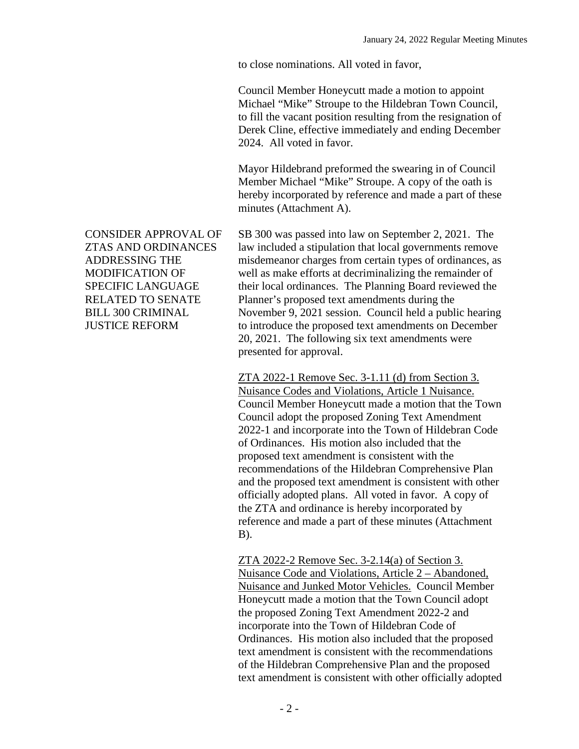to close nominations. All voted in favor,

Council Member Honeycutt made a motion to appoint Michael "Mike" Stroupe to the Hildebran Town Council, to fill the vacant position resulting from the resignation of Derek Cline, effective immediately and ending December 2024. All voted in favor.

Mayor Hildebrand preformed the swearing in of Council Member Michael "Mike" Stroupe. A copy of the oath is hereby incorporated by reference and made a part of these minutes (Attachment A).

SB 300 was passed into law on September 2, 2021. The law included a stipulation that local governments remove misdemeanor charges from certain types of ordinances, as well as make efforts at decriminalizing the remainder of their local ordinances. The Planning Board reviewed the Planner's proposed text amendments during the November 9, 2021 session. Council held a public hearing to introduce the proposed text amendments on December 20, 2021. The following six text amendments were presented for approval.

ZTA 2022-1 Remove Sec. 3-1.11 (d) from Section 3. Nuisance Codes and Violations, Article 1 Nuisance. Council Member Honeycutt made a motion that the Town Council adopt the proposed Zoning Text Amendment 2022-1 and incorporate into the Town of Hildebran Code of Ordinances. His motion also included that the proposed text amendment is consistent with the recommendations of the Hildebran Comprehensive Plan and the proposed text amendment is consistent with other officially adopted plans. All voted in favor. A copy of the ZTA and ordinance is hereby incorporated by reference and made a part of these minutes (Attachment B).

ZTA 2022-2 Remove Sec. 3-2.14(a) of Section 3. Nuisance Code and Violations, Article 2 – Abandoned, Nuisance and Junked Motor Vehicles. Council Member Honeycutt made a motion that the Town Council adopt the proposed Zoning Text Amendment 2022-2 and incorporate into the Town of Hildebran Code of Ordinances. His motion also included that the proposed text amendment is consistent with the recommendations of the Hildebran Comprehensive Plan and the proposed text amendment is consistent with other officially adopted

CONSIDER APPROVAL OF ZTAS AND ORDINANCES ADDRESSING THE MODIFICATION OF SPECIFIC LANGUAGE RELATED TO SENATE BILL 300 CRIMINAL JUSTICE REFORM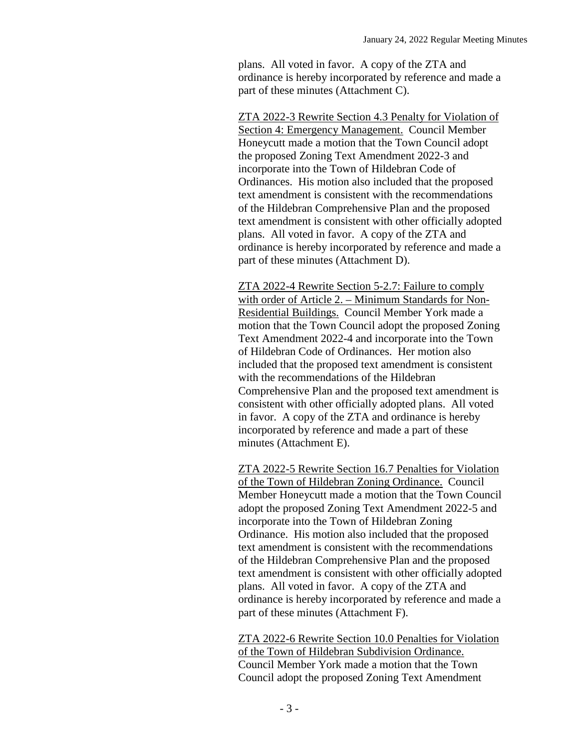plans. All voted in favor. A copy of the ZTA and ordinance is hereby incorporated by reference and made a part of these minutes (Attachment C).

ZTA 2022-3 Rewrite Section 4.3 Penalty for Violation of Section 4: Emergency Management. Council Member Honeycutt made a motion that the Town Council adopt the proposed Zoning Text Amendment 2022-3 and incorporate into the Town of Hildebran Code of Ordinances. His motion also included that the proposed text amendment is consistent with the recommendations of the Hildebran Comprehensive Plan and the proposed text amendment is consistent with other officially adopted plans. All voted in favor. A copy of the ZTA and ordinance is hereby incorporated by reference and made a part of these minutes (Attachment D).

ZTA 2022-4 Rewrite Section 5-2.7: Failure to comply with order of Article 2. – Minimum Standards for Non-Residential Buildings. Council Member York made a motion that the Town Council adopt the proposed Zoning Text Amendment 2022-4 and incorporate into the Town of Hildebran Code of Ordinances. Her motion also included that the proposed text amendment is consistent with the recommendations of the Hildebran Comprehensive Plan and the proposed text amendment is consistent with other officially adopted plans. All voted in favor. A copy of the ZTA and ordinance is hereby incorporated by reference and made a part of these minutes (Attachment E).

ZTA 2022-5 Rewrite Section 16.7 Penalties for Violation of the Town of Hildebran Zoning Ordinance. Council Member Honeycutt made a motion that the Town Council adopt the proposed Zoning Text Amendment 2022-5 and incorporate into the Town of Hildebran Zoning Ordinance. His motion also included that the proposed text amendment is consistent with the recommendations of the Hildebran Comprehensive Plan and the proposed text amendment is consistent with other officially adopted plans. All voted in favor. A copy of the ZTA and ordinance is hereby incorporated by reference and made a part of these minutes (Attachment F).

ZTA 2022-6 Rewrite Section 10.0 Penalties for Violation of the Town of Hildebran Subdivision Ordinance. Council Member York made a motion that the Town Council adopt the proposed Zoning Text Amendment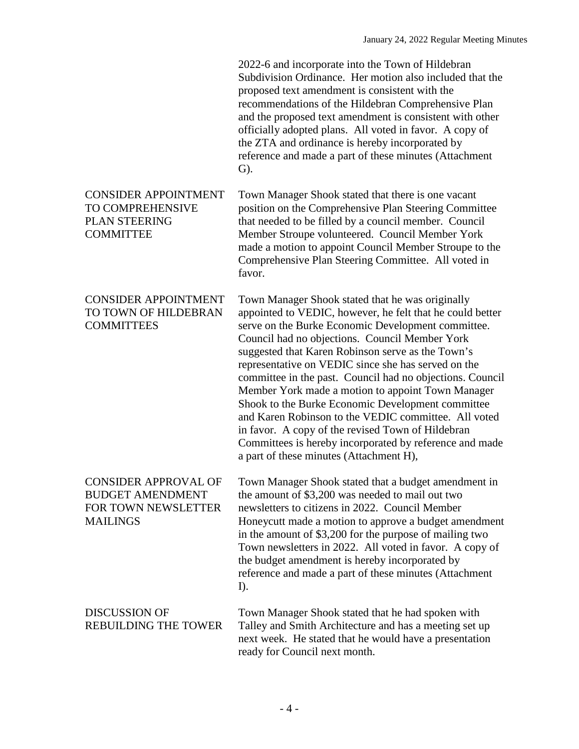| 2022-6 and incorporate into the Town of Hildebran        |
|----------------------------------------------------------|
| Subdivision Ordinance. Her motion also included that the |
| proposed text amendment is consistent with the           |
| recommendations of the Hildebran Comprehensive Plan      |
| and the proposed text amendment is consistent with other |
| officially adopted plans. All voted in favor. A copy of  |
| the ZTA and ordinance is hereby incorporated by          |
| reference and made a part of these minutes (Attachment   |
| $\mathbf{G}$ ).                                          |
|                                                          |

CONSIDER APPOINTMENT Town Manager Shook stated that there is one vacant position on the Comprehensive Plan Steering Committee that needed to be filled by a council member. Council Member Stroupe volunteered. Council Member York made a motion to appoint Council Member Stroupe to the Comprehensive Plan Steering Committee. All voted in favor.

> Town Manager Shook stated that he was originally appointed to VEDIC, however, he felt that he could better serve on the Burke Economic Development committee. Council had no objections. Council Member York suggested that Karen Robinson serve as the Town's representative on VEDIC since she has served on the committee in the past. Council had no objections. Council Member York made a motion to appoint Town Manager Shook to the Burke Economic Development committee and Karen Robinson to the VEDIC committee. All voted in favor. A copy of the revised Town of Hildebran Committees is hereby incorporated by reference and made a part of these minutes (Attachment H),

CONSIDER APPROVAL OF BUDGET AMENDMENT FOR TOWN NEWSLETTER **MAILINGS** Town Manager Shook stated that a budget amendment in the amount of \$3,200 was needed to mail out two newsletters to citizens in 2022. Council Member Honeycutt made a motion to approve a budget amendment in the amount of \$3,200 for the purpose of mailing two Town newsletters in 2022. All voted in favor. A copy of the budget amendment is hereby incorporated by reference and made a part of these minutes (Attachment I).

DISCUSSION OF REBUILDING THE TOWER Town Manager Shook stated that he had spoken with Talley and Smith Architecture and has a meeting set up next week. He stated that he would have a presentation ready for Council next month.

TO COMPREHENSIVE PLAN STEERING **COMMITTEE** 

CONSIDER APPOINTMENT TO TOWN OF HILDEBRAN

**COMMITTEES** 

## - 4 -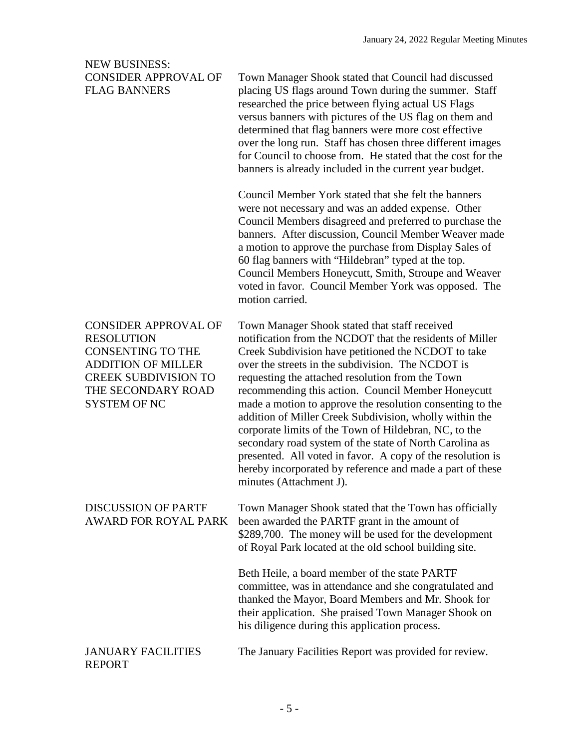## NEW BUSINESS: CONSIDER APPROVAL OF FLAG BANNERS

Town Manager Shook stated that Council had discussed placing US flags around Town during the summer. Staff researched the price between flying actual US Flags versus banners with pictures of the US flag on them and determined that flag banners were more cost effective over the long run. Staff has chosen three different images for Council to choose from. He stated that the cost for the banners is already included in the current year budget.

Council Member York stated that she felt the banners were not necessary and was an added expense. Other Council Members disagreed and preferred to purchase the banners. After discussion, Council Member Weaver made a motion to approve the purchase from Display Sales of 60 flag banners with "Hildebran" typed at the top. Council Members Honeycutt, Smith, Stroupe and Weaver voted in favor. Council Member York was opposed. The motion carried.

| <b>CONSIDER APPROVAL OF</b>                               | Town Manager Shook stated that staff received                                                                                                                                                                                                                                                                                                                                                  |
|-----------------------------------------------------------|------------------------------------------------------------------------------------------------------------------------------------------------------------------------------------------------------------------------------------------------------------------------------------------------------------------------------------------------------------------------------------------------|
| <b>RESOLUTION</b>                                         | notification from the NCDOT that the residents of Miller                                                                                                                                                                                                                                                                                                                                       |
| <b>CONSENTING TO THE</b>                                  | Creek Subdivision have petitioned the NCDOT to take                                                                                                                                                                                                                                                                                                                                            |
| <b>ADDITION OF MILLER</b>                                 | over the streets in the subdivision. The NCDOT is                                                                                                                                                                                                                                                                                                                                              |
| <b>CREEK SUBDIVISION TO</b>                               | requesting the attached resolution from the Town                                                                                                                                                                                                                                                                                                                                               |
| THE SECONDARY ROAD                                        | recommending this action. Council Member Honeycutt                                                                                                                                                                                                                                                                                                                                             |
| <b>SYSTEM OF NC</b>                                       | made a motion to approve the resolution consenting to the<br>addition of Miller Creek Subdivision, wholly within the<br>corporate limits of the Town of Hildebran, NC, to the<br>secondary road system of the state of North Carolina as<br>presented. All voted in favor. A copy of the resolution is<br>hereby incorporated by reference and made a part of these<br>minutes (Attachment J). |
| <b>DISCUSSION OF PARTF</b><br><b>AWARD FOR ROYAL PARK</b> | Town Manager Shook stated that the Town has officially<br>been awarded the PARTF grant in the amount of<br>\$289,700. The money will be used for the development<br>of Royal Park located at the old school building site.                                                                                                                                                                     |

Beth Heile, a board member of the state PARTF committee, was in attendance and she congratulated and thanked the Mayor, Board Members and Mr. Shook for their application. She praised Town Manager Shook on his diligence during this application process.

## JANUARY FACILITIES REPORT

The January Facilities Report was provided for review.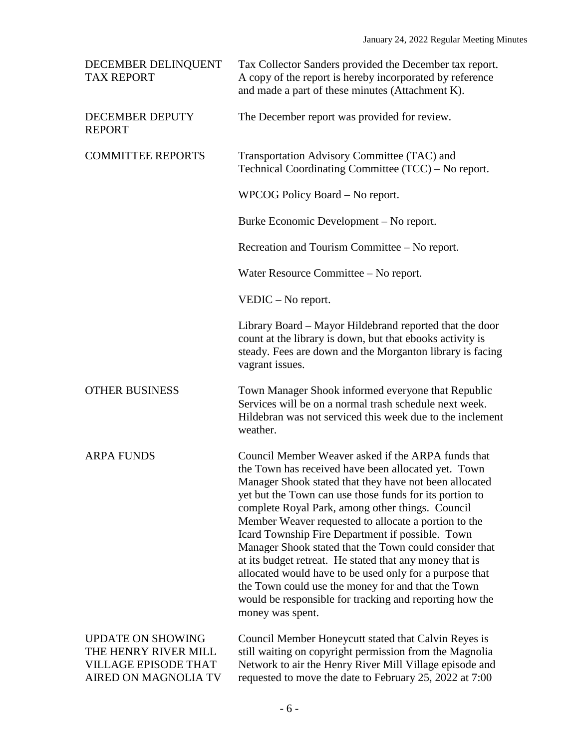| DECEMBER DELINQUENT<br><b>TAX REPORT</b>                                                                | Tax Collector Sanders provided the December tax report.<br>A copy of the report is hereby incorporated by reference<br>and made a part of these minutes (Attachment K).                                                                                                                                                                                                                                                                                                                                                                                                                                                                                                                                             |
|---------------------------------------------------------------------------------------------------------|---------------------------------------------------------------------------------------------------------------------------------------------------------------------------------------------------------------------------------------------------------------------------------------------------------------------------------------------------------------------------------------------------------------------------------------------------------------------------------------------------------------------------------------------------------------------------------------------------------------------------------------------------------------------------------------------------------------------|
| DECEMBER DEPUTY<br><b>REPORT</b>                                                                        | The December report was provided for review.                                                                                                                                                                                                                                                                                                                                                                                                                                                                                                                                                                                                                                                                        |
| <b>COMMITTEE REPORTS</b>                                                                                | Transportation Advisory Committee (TAC) and<br>Technical Coordinating Committee (TCC) - No report.                                                                                                                                                                                                                                                                                                                                                                                                                                                                                                                                                                                                                  |
|                                                                                                         | WPCOG Policy Board – No report.                                                                                                                                                                                                                                                                                                                                                                                                                                                                                                                                                                                                                                                                                     |
|                                                                                                         | Burke Economic Development – No report.                                                                                                                                                                                                                                                                                                                                                                                                                                                                                                                                                                                                                                                                             |
|                                                                                                         | Recreation and Tourism Committee – No report.                                                                                                                                                                                                                                                                                                                                                                                                                                                                                                                                                                                                                                                                       |
|                                                                                                         | Water Resource Committee - No report.                                                                                                                                                                                                                                                                                                                                                                                                                                                                                                                                                                                                                                                                               |
|                                                                                                         | $VEDIC - No report.$                                                                                                                                                                                                                                                                                                                                                                                                                                                                                                                                                                                                                                                                                                |
|                                                                                                         | Library Board – Mayor Hildebrand reported that the door<br>count at the library is down, but that ebooks activity is<br>steady. Fees are down and the Morganton library is facing<br>vagrant issues.                                                                                                                                                                                                                                                                                                                                                                                                                                                                                                                |
| <b>OTHER BUSINESS</b>                                                                                   | Town Manager Shook informed everyone that Republic<br>Services will be on a normal trash schedule next week.<br>Hildebran was not serviced this week due to the inclement<br>weather.                                                                                                                                                                                                                                                                                                                                                                                                                                                                                                                               |
| <b>ARPA FUNDS</b>                                                                                       | Council Member Weaver asked if the ARPA funds that<br>the Town has received have been allocated yet. Town<br>Manager Shook stated that they have not been allocated<br>yet but the Town can use those funds for its portion to<br>complete Royal Park, among other things. Council<br>Member Weaver requested to allocate a portion to the<br>Icard Township Fire Department if possible. Town<br>Manager Shook stated that the Town could consider that<br>at its budget retreat. He stated that any money that is<br>allocated would have to be used only for a purpose that<br>the Town could use the money for and that the Town<br>would be responsible for tracking and reporting how the<br>money was spent. |
| <b>UPDATE ON SHOWING</b><br>THE HENRY RIVER MILL<br><b>VILLAGE EPISODE THAT</b><br>AIRED ON MAGNOLIA TV | Council Member Honeycutt stated that Calvin Reyes is<br>still waiting on copyright permission from the Magnolia<br>Network to air the Henry River Mill Village episode and<br>requested to move the date to February 25, 2022 at 7:00                                                                                                                                                                                                                                                                                                                                                                                                                                                                               |